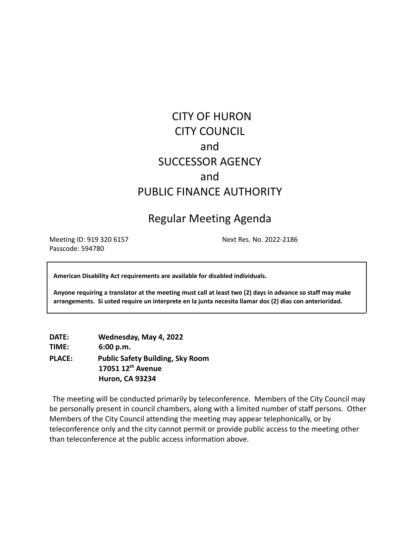# CITY OF HURON CITY COUNCIL and SUCCESSOR AGENCY and PUBLIC FINANCE AUTHORITY

# Regular Meeting Agenda

Meeting ID: 919 320 6157 Next Res. No. 2022-2186 Passcode: 594780

**American Disability Act requirements are available for disabled individuals.**

Anyone requiring a translator at the meeting must call at least two (2) days in advance so staff may make **arrangements. Si usted require un interprete en la junta necesita llamar dos (2) dias con anterioridad.**

**DATE: Wednesday, May 4, 2022 TIME: 6:00 p.m. PLACE: Public Safety Building, Sky Room 17051 12th Avenue Huron, CA 93234**

The meeting will be conducted primarily by teleconference. Members of the City Council may be personally present in council chambers, along with a limited number of staff persons. Other Members of the City Council attending the meeting may appear telephonically, or by teleconference only and the city cannot permit or provide public access to the meeting other than teleconference at the public access information above.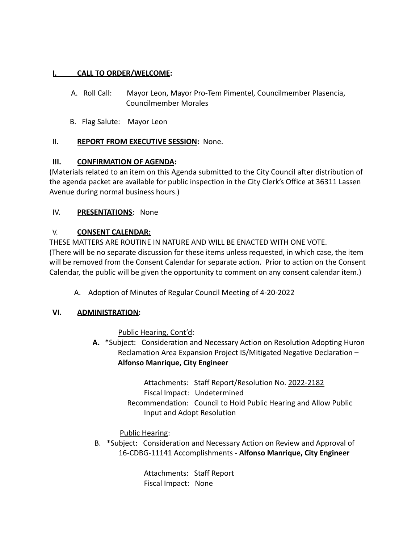### **I. CALL TO ORDER/WELCOME:**

- A. Roll Call: Mayor Leon, Mayor Pro-Tem Pimentel, Councilmember Plasencia, Councilmember Morales
- B. Flag Salute: Mayor Leon

## II. **REPORT FROM EXECUTIVE SESSION:** None.

### **III. CONFIRMATION OF AGENDA:**

(Materials related to an item on this Agenda submitted to the City Council after distribution of the agenda packet are available for public inspection in the City Clerk's Office at 36311 Lassen Avenue during normal business hours.)

### IV. **PRESENTATIONS**: None

### V. **CONSENT CALENDAR:**

THESE MATTERS ARE ROUTINE IN NATURE AND WILL BE ENACTED WITH ONE VOTE. (There will be no separate discussion for these items unless requested, in which case, the item will be removed from the Consent Calendar for separate action. Prior to action on the Consent Calendar, the public will be given the opportunity to comment on any consent calendar item.)

A. Adoption of Minutes of Regular Council Meeting of 4-20-2022

### **VI. ADMINISTRATION:**

Public Hearing, Cont'd:

**A.** \*Subject: Consideration and Necessary Action on Resolution Adopting Huron Reclamation Area Expansion Project IS/Mitigated Negative Declaration **– Alfonso Manrique, City Engineer**

> Attachments: Staff Report/Resolution No. 2022-2182 Fiscal Impact: Undetermined Recommendation: Council to Hold Public Hearing and Allow Public Input and Adopt Resolution

Public Hearing:

B. \*Subject: Consideration and Necessary Action on Review and Approval of 16-CDBG-11141 Accomplishments **- Alfonso Manrique, City Engineer**

> Attachments: Staff Report Fiscal Impact: None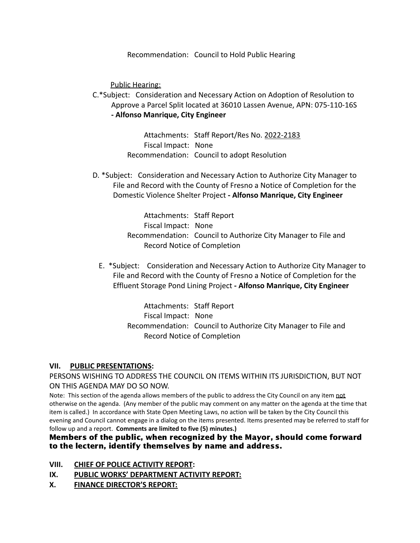Recommendation: Council to Hold Public Hearing

Public Hearing:

C.\*Subject: Consideration and Necessary Action on Adoption of Resolution to Approve a Parcel Split located at 36010 Lassen Avenue, APN: 075-110-16S **- Alfonso Manrique, City Engineer**

> Attachments: Staff Report/Res No. 2022-2183 Fiscal Impact: None Recommendation: Council to adopt Resolution

D. \*Subject: Consideration and Necessary Action to Authorize City Manager to File and Record with the County of Fresno a Notice of Completion for the Domestic Violence Shelter Project **- Alfonso Manrique, City Engineer**

> Attachments: Staff Report Fiscal Impact: None Recommendation: Council to Authorize City Manager to File and Record Notice of Completion

E. \*Subject: Consideration and Necessary Action to Authorize City Manager to File and Record with the County of Fresno a Notice of Completion for the Effluent Storage Pond Lining Project **- Alfonso Manrique, City Engineer**

> Attachments: Staff Report Fiscal Impact: None Recommendation: Council to Authorize City Manager to File and Record Notice of Completion

#### **VII. PUBLIC PRESENTATIONS:**

PERSONS WISHING TO ADDRESS THE COUNCIL ON ITEMS WITHIN ITS JURISDICTION, BUT NOT ON THIS AGENDA MAY DO SO NOW.

Note: This section of the agenda allows members of the public to address the City Council on any item not otherwise on the agenda. (Any member of the public may comment on any matter on the agenda at the time that item is called.) In accordance with State Open Meeting Laws, no action will be taken by the City Council this evening and Council cannot engage in a dialog on the items presented. Items presented may be referred to staff for follow up and a report. **Comments are limited to five (5) minutes.)**

#### Members of the public, when recognized by the Mayor, should come forward to the lectern, identify themselves by name and address.

- **VIII. CHIEF OF POLICE ACTIVITY REPORT:**
- **IX. PUBLIC WORKS' DEPARTMENT ACTIVITY REPORT:**
- **X. FINANCE DIRECTOR'S REPORT:**